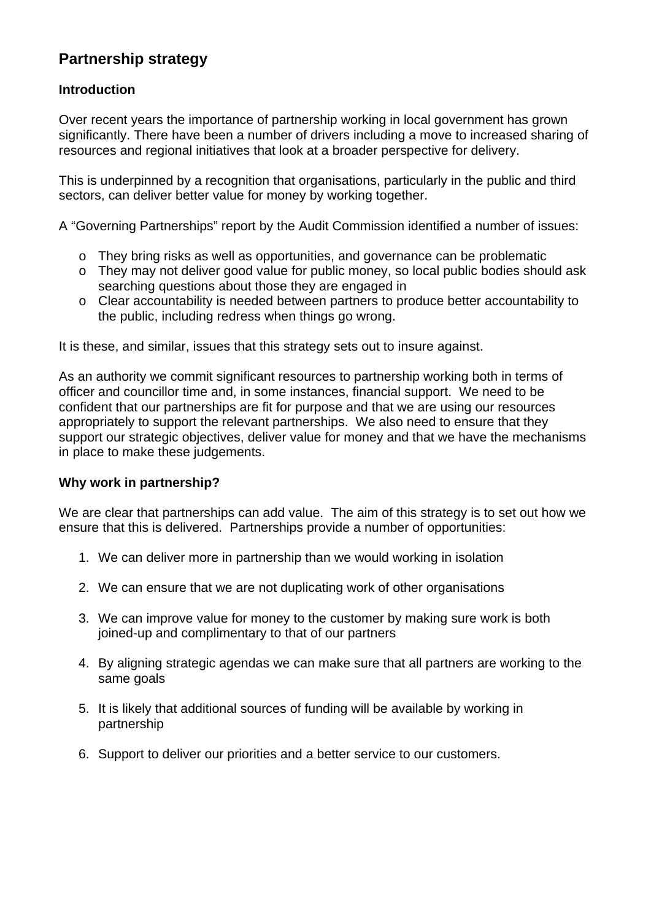# **Partnership strategy**

# **Introduction**

Over recent years the importance of partnership working in local government has grown significantly. There have been a number of drivers including a move to increased sharing of resources and regional initiatives that look at a broader perspective for delivery.

This is underpinned by a recognition that organisations, particularly in the public and third sectors, can deliver better value for money by working together.

A "Governing Partnerships" report by the Audit Commission identified a number of issues:

- o They bring risks as well as opportunities, and governance can be problematic
- o They may not deliver good value for public money, so local public bodies should ask searching questions about those they are engaged in
- o Clear accountability is needed between partners to produce better accountability to the public, including redress when things go wrong.

It is these, and similar, issues that this strategy sets out to insure against.

As an authority we commit significant resources to partnership working both in terms of officer and councillor time and, in some instances, financial support. We need to be confident that our partnerships are fit for purpose and that we are using our resources appropriately to support the relevant partnerships. We also need to ensure that they support our strategic objectives, deliver value for money and that we have the mechanisms in place to make these judgements.

## **Why work in partnership?**

We are clear that partnerships can add value. The aim of this strategy is to set out how we ensure that this is delivered. Partnerships provide a number of opportunities:

- 1. We can deliver more in partnership than we would working in isolation
- 2. We can ensure that we are not duplicating work of other organisations
- 3. We can improve value for money to the customer by making sure work is both joined-up and complimentary to that of our partners
- 4. By aligning strategic agendas we can make sure that all partners are working to the same goals
- 5. It is likely that additional sources of funding will be available by working in partnership
- 6. Support to deliver our priorities and a better service to our customers.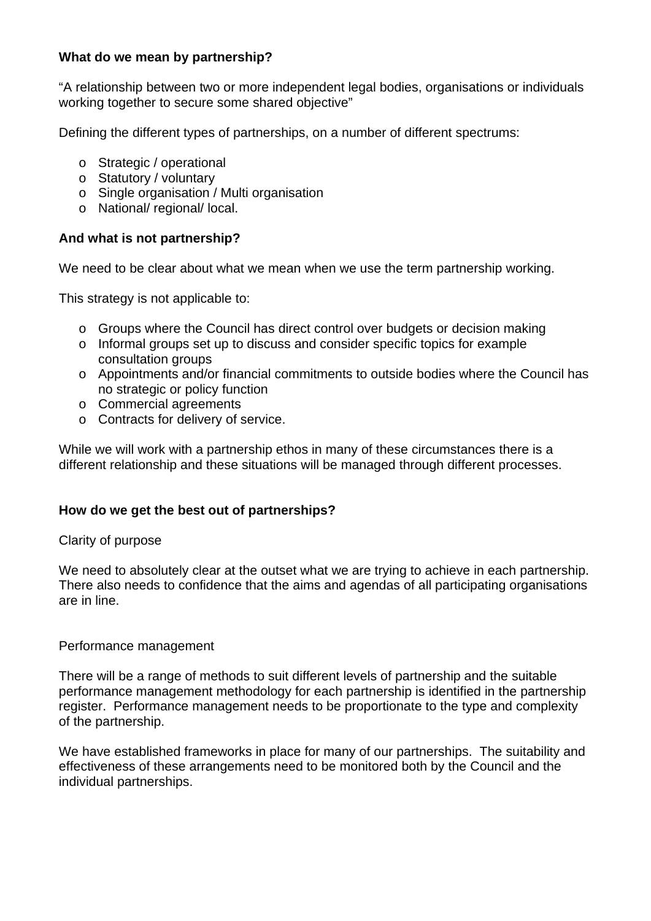## **What do we mean by partnership?**

"A relationship between two or more independent legal bodies, organisations or individuals working together to secure some shared objective"

Defining the different types of partnerships, on a number of different spectrums:

- o Strategic / operational
- o Statutory / voluntary
- o Single organisation / Multi organisation
- o National/ regional/ local.

### **And what is not partnership?**

We need to be clear about what we mean when we use the term partnership working.

This strategy is not applicable to:

- o Groups where the Council has direct control over budgets or decision making
- o Informal groups set up to discuss and consider specific topics for example consultation groups
- o Appointments and/or financial commitments to outside bodies where the Council has no strategic or policy function
- o Commercial agreements
- o Contracts for delivery of service.

While we will work with a partnership ethos in many of these circumstances there is a different relationship and these situations will be managed through different processes.

### **How do we get the best out of partnerships?**

#### Clarity of purpose

We need to absolutely clear at the outset what we are trying to achieve in each partnership. There also needs to confidence that the aims and agendas of all participating organisations are in line.

#### Performance management

There will be a range of methods to suit different levels of partnership and the suitable performance management methodology for each partnership is identified in the partnership register. Performance management needs to be proportionate to the type and complexity of the partnership.

We have established frameworks in place for many of our partnerships. The suitability and effectiveness of these arrangements need to be monitored both by the Council and the individual partnerships.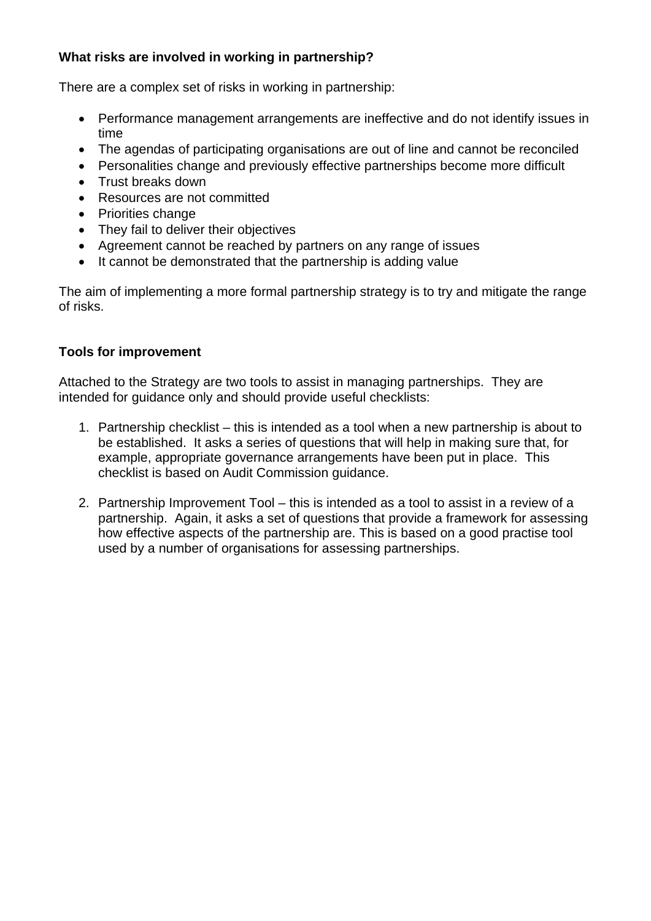# **What risks are involved in working in partnership?**

There are a complex set of risks in working in partnership:

- Performance management arrangements are ineffective and do not identify issues in time
- The agendas of participating organisations are out of line and cannot be reconciled
- Personalities change and previously effective partnerships become more difficult
- Trust breaks down
- Resources are not committed
- Priorities change
- They fail to deliver their objectives
- Agreement cannot be reached by partners on any range of issues
- It cannot be demonstrated that the partnership is adding value

The aim of implementing a more formal partnership strategy is to try and mitigate the range of risks.

## **Tools for improvement**

Attached to the Strategy are two tools to assist in managing partnerships. They are intended for guidance only and should provide useful checklists:

- 1. Partnership checklist this is intended as a tool when a new partnership is about to be established. It asks a series of questions that will help in making sure that, for example, appropriate governance arrangements have been put in place. This checklist is based on Audit Commission guidance.
- 2. Partnership Improvement Tool this is intended as a tool to assist in a review of a partnership. Again, it asks a set of questions that provide a framework for assessing how effective aspects of the partnership are. This is based on a good practise tool used by a number of organisations for assessing partnerships.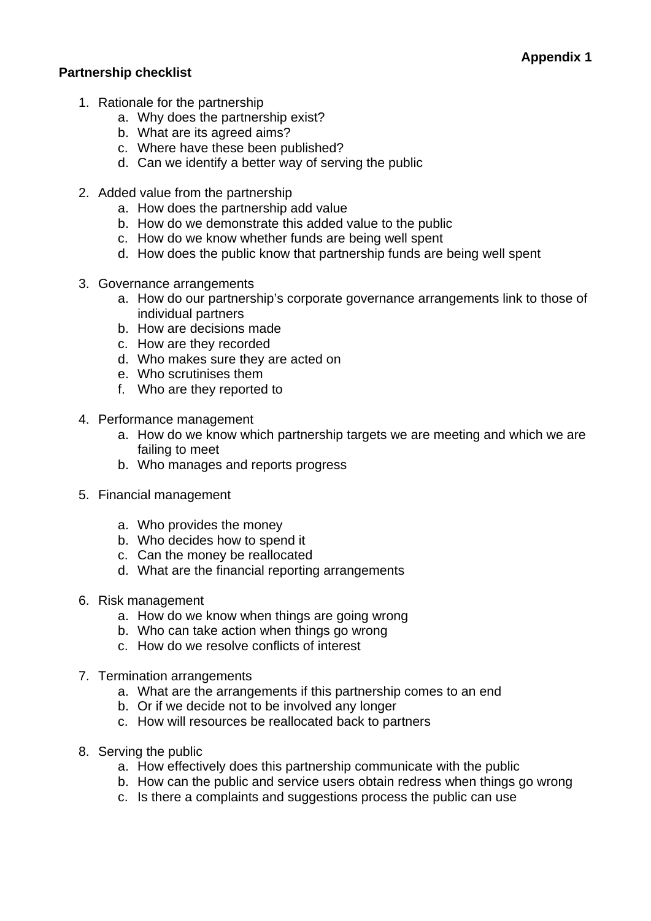## **Partnership checklist**

- 1. Rationale for the partnership
	- a. Why does the partnership exist?
	- b. What are its agreed aims?
	- c. Where have these been published?
	- d. Can we identify a better way of serving the public
- 2. Added value from the partnership
	- a. How does the partnership add value
	- b. How do we demonstrate this added value to the public
	- c. How do we know whether funds are being well spent
	- d. How does the public know that partnership funds are being well spent
- 3. Governance arrangements
	- a. How do our partnership's corporate governance arrangements link to those of individual partners
	- b. How are decisions made
	- c. How are they recorded
	- d. Who makes sure they are acted on
	- e. Who scrutinises them
	- f. Who are they reported to
- 4. Performance management
	- a. How do we know which partnership targets we are meeting and which we are failing to meet
	- b. Who manages and reports progress
- 5. Financial management
	- a. Who provides the money
	- b. Who decides how to spend it
	- c. Can the money be reallocated
	- d. What are the financial reporting arrangements
- 6. Risk management
	- a. How do we know when things are going wrong
	- b. Who can take action when things go wrong
	- c. How do we resolve conflicts of interest
- 7. Termination arrangements
	- a. What are the arrangements if this partnership comes to an end
	- b. Or if we decide not to be involved any longer
	- c. How will resources be reallocated back to partners
- 8. Serving the public
	- a. How effectively does this partnership communicate with the public
	- b. How can the public and service users obtain redress when things go wrong
	- c. Is there a complaints and suggestions process the public can use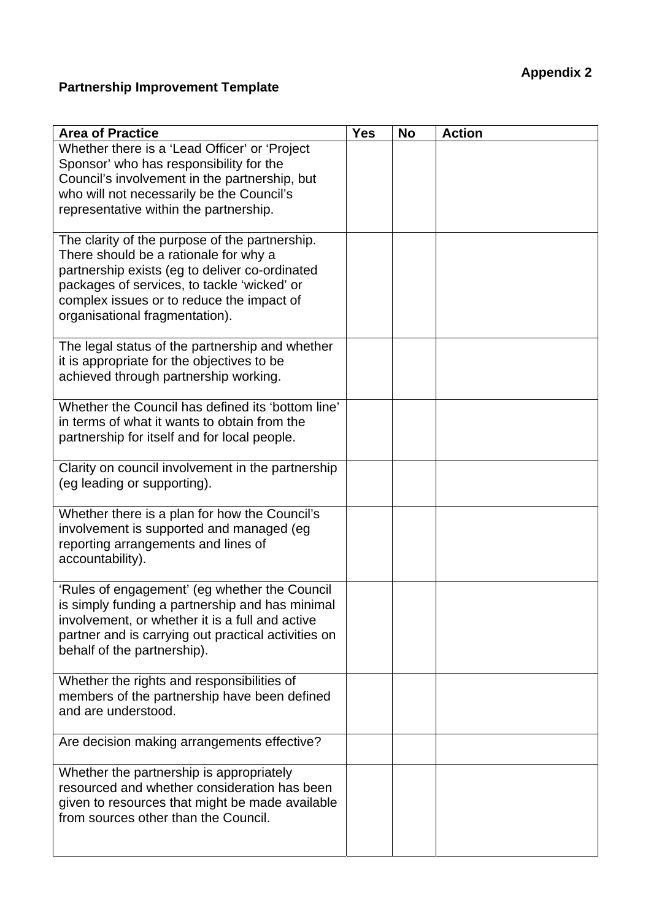# **Appendix 2**

# **Partnership Improvement Template**

| <b>Area of Practice</b>                             | <b>Yes</b> | <b>No</b> | <b>Action</b> |
|-----------------------------------------------------|------------|-----------|---------------|
| Whether there is a 'Lead Officer' or 'Project       |            |           |               |
| Sponsor' who has responsibility for the             |            |           |               |
| Council's involvement in the partnership, but       |            |           |               |
| who will not necessarily be the Council's           |            |           |               |
| representative within the partnership.              |            |           |               |
|                                                     |            |           |               |
| The clarity of the purpose of the partnership.      |            |           |               |
| There should be a rationale for why a               |            |           |               |
| partnership exists (eg to deliver co-ordinated      |            |           |               |
| packages of services, to tackle 'wicked' or         |            |           |               |
| complex issues or to reduce the impact of           |            |           |               |
| organisational fragmentation).                      |            |           |               |
| The legal status of the partnership and whether     |            |           |               |
| it is appropriate for the objectives to be          |            |           |               |
| achieved through partnership working.               |            |           |               |
|                                                     |            |           |               |
| Whether the Council has defined its 'bottom line'   |            |           |               |
| in terms of what it wants to obtain from the        |            |           |               |
| partnership for itself and for local people.        |            |           |               |
|                                                     |            |           |               |
| Clarity on council involvement in the partnership   |            |           |               |
| (eg leading or supporting).                         |            |           |               |
| Whether there is a plan for how the Council's       |            |           |               |
| involvement is supported and managed (eg            |            |           |               |
| reporting arrangements and lines of                 |            |           |               |
| accountability).                                    |            |           |               |
|                                                     |            |           |               |
| 'Rules of engagement' (eg whether the Council       |            |           |               |
| is simply funding a partnership and has minimal     |            |           |               |
| involvement, or whether it is a full and active     |            |           |               |
| partner and is carrying out practical activities on |            |           |               |
| behalf of the partnership).                         |            |           |               |
|                                                     |            |           |               |
| Whether the rights and responsibilities of          |            |           |               |
| members of the partnership have been defined        |            |           |               |
| and are understood.                                 |            |           |               |
| Are decision making arrangements effective?         |            |           |               |
|                                                     |            |           |               |
| Whether the partnership is appropriately            |            |           |               |
| resourced and whether consideration has been        |            |           |               |
| given to resources that might be made available     |            |           |               |
| from sources other than the Council.                |            |           |               |
|                                                     |            |           |               |
|                                                     |            |           |               |